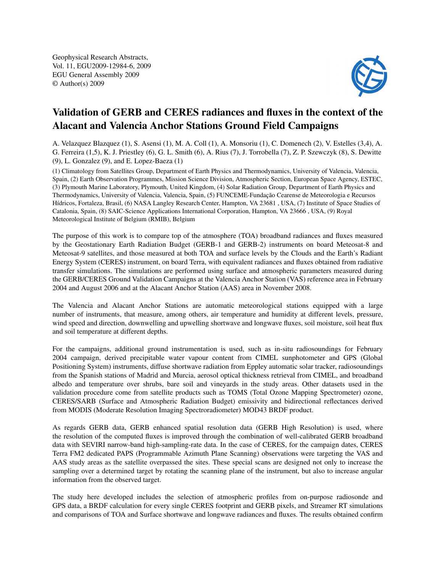Geophysical Research Abstracts, Vol. 11, EGU2009-12984-6, 2009 EGU General Assembly 2009 © Author(s) 2009



## Validation of GERB and CERES radiances and fluxes in the context of the Alacant and Valencia Anchor Stations Ground Field Campaigns

A. Velazquez Blazquez (1), S. Asensi (1), M. A. Coll (1), A. Monsoriu (1), C. Domenech (2), V. Estelles (3,4), A. G. Ferreira (1,5), K. J. Priestley (6), G. L. Smith (6), A. Rius (7), J. Torrobella (7), Z. P. Szewczyk (8), S. Dewitte (9), L. Gonzalez (9), and E. Lopez-Baeza (1)

(1) Climatology from Satellites Group, Department of Earth Physics and Thermodynamics, University of Valencia, Valencia, Spain, (2) Earth Observation Programmes, Mission Science Division, Atmospheric Section, European Space Agency, ESTEC, (3) Plymouth Marine Laboratory, Plymouth, United Kingdom, (4) Solar Radiation Group, Department of Earth Physics and Thermodynamics, University of Valencia, Valencia, Spain, (5) FUNCEME-Fundação Cearense de Meteorologia e Recursos Hídricos, Fortaleza, Brasil, (6) NASA Langley Research Center, Hampton, VA 23681 , USA, (7) Institute of Space Studies of Catalonia, Spain, (8) SAIC-Science Applications International Corporation, Hampton, VA 23666 , USA, (9) Royal Meteorological Institute of Belgium (RMIB), Belgium

The purpose of this work is to compare top of the atmosphere (TOA) broadband radiances and fluxes measured by the Geostationary Earth Radiation Budget (GERB-1 and GERB-2) instruments on board Meteosat-8 and Meteosat-9 satellites, and those measured at both TOA and surface levels by the Clouds and the Earth's Radiant Energy System (CERES) instrument, on board Terra, with equivalent radiances and fluxes obtained from radiative transfer simulations. The simulations are performed using surface and atmospheric parameters measured during the GERB/CERES Ground Validation Campaigns at the Valencia Anchor Station (VAS) reference area in February 2004 and August 2006 and at the Alacant Anchor Station (AAS) area in November 2008.

The Valencia and Alacant Anchor Stations are automatic meteorological stations equipped with a large number of instruments, that measure, among others, air temperature and humidity at different levels, pressure, wind speed and direction, downwelling and upwelling shortwave and longwave fluxes, soil moisture, soil heat flux and soil temperature at different depths.

For the campaigns, additional ground instrumentation is used, such as in-situ radiosoundings for February 2004 campaign, derived precipitable water vapour content from CIMEL sunphotometer and GPS (Global Positioning System) instruments, diffuse shortwave radiation from Eppley automatic solar tracker, radiosoundings from the Spanish stations of Madrid and Murcia, aerosol optical thickness retrieval from CIMEL, and broadband albedo and temperature over shrubs, bare soil and vineyards in the study areas. Other datasets used in the validation procedure come from satellite products such as TOMS (Total Ozone Mapping Spectrometer) ozone, CERES/SARB (Surface and Atmospheric Radiation Budget) emissivity and bidirectional reflectances derived from MODIS (Moderate Resolution Imaging Spectroradiometer) MOD43 BRDF product.

As regards GERB data, GERB enhanced spatial resolution data (GERB High Resolution) is used, where the resolution of the computed fluxes is improved through the combination of well-calibrated GERB broadband data with SEVIRI narrow-band high-sampling-rate data. In the case of CERES, for the campaign dates, CERES Terra FM2 dedicated PAPS (Programmable Azimuth Plane Scanning) observations were targeting the VAS and AAS study areas as the satellite overpassed the sites. These special scans are designed not only to increase the sampling over a determined target by rotating the scanning plane of the instrument, but also to increase angular information from the observed target.

The study here developed includes the selection of atmospheric profiles from on-purpose radiosonde and GPS data, a BRDF calculation for every single CERES footprint and GERB pixels, and Streamer RT simulations and comparisons of TOA and Surface shortwave and longwave radiances and fluxes. The results obtained confirm